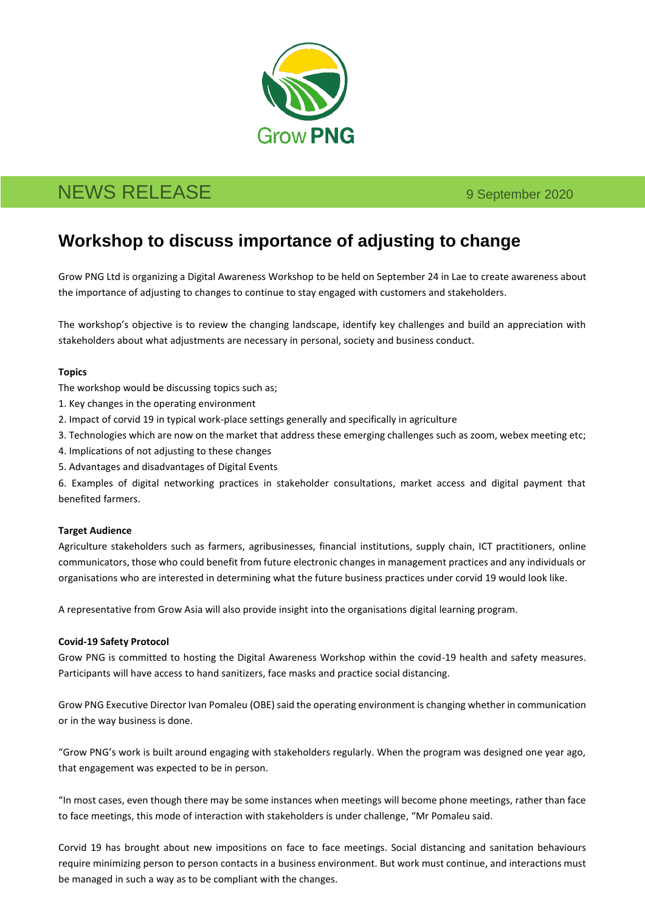

# NEWS RELEASE 9 September 2020

## **Workshop to discuss importance of adjusting to change**

Grow PNG Ltd is organizing a Digital Awareness Workshop to be held on September 24 in Lae to create awareness about the importance of adjusting to changes to continue to stay engaged with customers and stakeholders.

The workshop's objective is to review the changing landscape, identify key challenges and build an appreciation with stakeholders about what adjustments are necessary in personal, society and business conduct.

### **Topics**

The workshop would be discussing topics such as;

- 1. Key changes in the operating environment
- 2. Impact of corvid 19 in typical work-place settings generally and specifically in agriculture
- 3. Technologies which are now on the market that address these emerging challenges such as zoom, webex meeting etc;
- 4. Implications of not adjusting to these changes
- 5. Advantages and disadvantages of Digital Events

6. Examples of digital networking practices in stakeholder consultations, market access and digital payment that benefited farmers.

### **Target Audience**

Agriculture stakeholders such as farmers, agribusinesses, financial institutions, supply chain, ICT practitioners, online communicators, those who could benefit from future electronic changes in management practices and any individuals or organisations who are interested in determining what the future business practices under corvid 19 would look like.

A representative from Grow Asia will also provide insight into the organisations digital learning program.

#### **Covid-19 Safety Protocol**

Grow PNG is committed to hosting the Digital Awareness Workshop within the covid-19 health and safety measures. Participants will have access to hand sanitizers, face masks and practice social distancing.

Grow PNG Executive Director Ivan Pomaleu (OBE)said the operating environment is changing whether in communication or in the way business is done.

"Grow PNG's work is built around engaging with stakeholders regularly. When the program was designed one year ago, that engagement was expected to be in person.

"In most cases, even though there may be some instances when meetings will become phone meetings, rather than face to face meetings, this mode of interaction with stakeholders is under challenge, "Mr Pomaleu said.

Corvid 19 has brought about new impositions on face to face meetings. Social distancing and sanitation behaviours require minimizing person to person contacts in a business environment. But work must continue, and interactions must be managed in such a way as to be compliant with the changes.